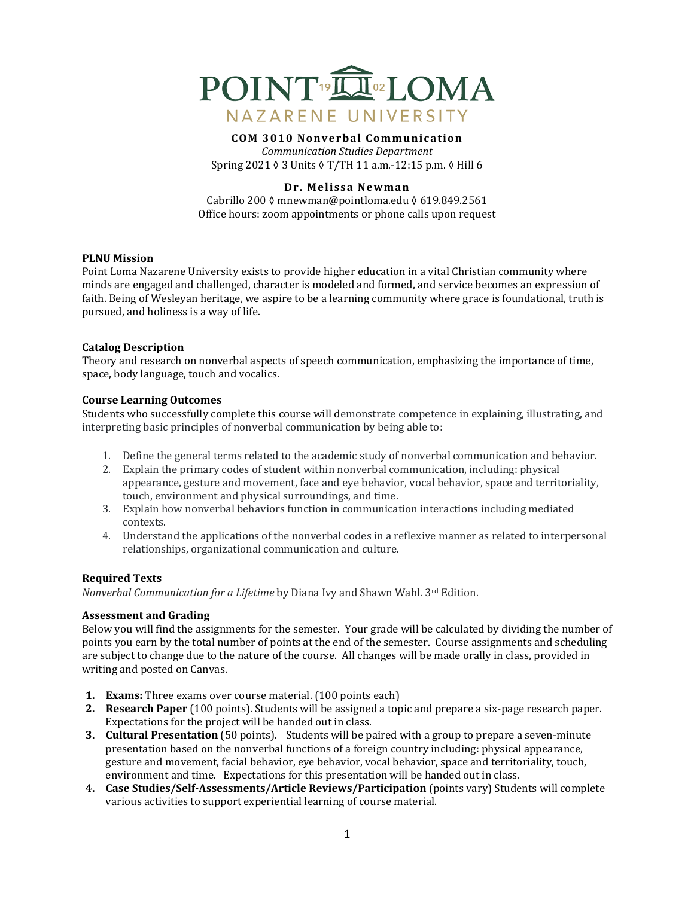

# **COM 3010 Nonverbal Communication**

*Communication Studies Department* Spring 2021 ◊ 3 Units ◊ T/TH 11 a.m.-12:15 p.m. ◊ Hill 6

## **Dr. Melissa Newman**

Cabrillo 200 ◊ mnewman@pointloma.edu ◊ 619.849.2561 Office hours: zoom appointments or phone calls upon request

#### **PLNU** Mission

Point Loma Nazarene University exists to provide higher education in a vital Christian community where minds are engaged and challenged, character is modeled and formed, and service becomes an expression of faith. Being of Wesleyan heritage, we aspire to be a learning community where grace is foundational, truth is pursued, and holiness is a way of life.

#### **Catalog Description**

Theory and research on nonverbal aspects of speech communication, emphasizing the importance of time, space, body language, touch and vocalics.

#### **Course Learning Outcomes**

Students who successfully complete this course will demonstrate competence in explaining, illustrating, and interpreting basic principles of nonverbal communication by being able to:

- 1. Define the general terms related to the academic study of nonverbal communication and behavior.
- 2. Explain the primary codes of student within nonverbal communication, including: physical appearance, gesture and movement, face and eye behavior, vocal behavior, space and territoriality, touch, environment and physical surroundings, and time.
- 3. Explain how nonverbal behaviors function in communication interactions including mediated contexts.
- 4. Understand the applications of the nonverbal codes in a reflexive manner as related to interpersonal relationships, organizational communication and culture.

#### **Required Texts**

*Nonverbal Communication for a Lifetime* by Diana Ivy and Shawn Wahl. 3<sup>rd</sup> Edition.

## **Assessment and Grading**

Below you will find the assignments for the semester. Your grade will be calculated by dividing the number of points you earn by the total number of points at the end of the semester. Course assignments and scheduling are subject to change due to the nature of the course. All changes will be made orally in class, provided in writing and posted on Canvas.

- **1. Exams:** Three exams over course material. (100 points each)
- **2. Research Paper** (100 points). Students will be assigned a topic and prepare a six-page research paper. Expectations for the project will be handed out in class.
- **3. Cultural Presentation** (50 points). Students will be paired with a group to prepare a seven-minute presentation based on the nonverbal functions of a foreign country including: physical appearance, gesture and movement, facial behavior, eye behavior, vocal behavior, space and territoriality, touch, environment and time. Expectations for this presentation will be handed out in class.
- **4.** Case Studies/Self-Assessments/Article Reviews/Participation (points vary) Students will complete various activities to support experiential learning of course material.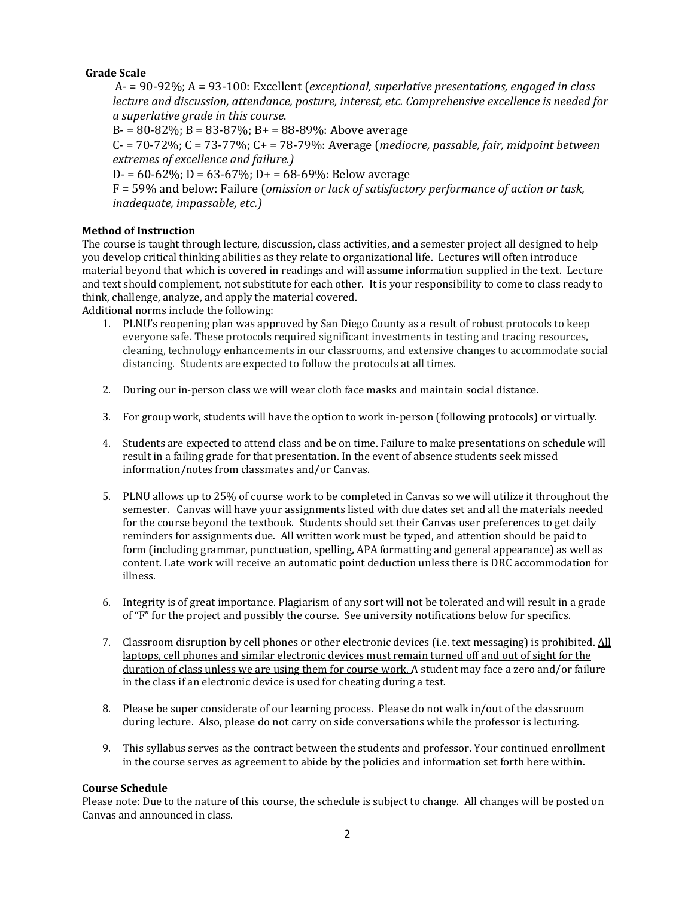## **Grade Scale**

A- = 90-92%; A = 93-100: Excellent (*exceptional, superlative presentations, engaged in class lecture and discussion, attendance, posture, interest, etc. Comprehensive excellence is needed for a superlative grade in this course*.

 $B = 80-82\%$ ;  $B = 83-87\%$ ;  $B = 88-89\%$ : Above average

 $C = 70-72\%$ ;  $C = 73-77\%$ ;  $C = 78-79\%$ : Average (*mediocre, passable, fair, midpoint between extremes of excellence and failure.)*

 $D = 60-62\%$ ;  $D = 63-67\%$ ;  $D = 68-69\%$ : Below average

F = 59% and below: Failure (*omission or lack of satisfactory performance of action or task, inadequate, impassable, etc.)*

## **Method of Instruction**

The course is taught through lecture, discussion, class activities, and a semester project all designed to help you develop critical thinking abilities as they relate to organizational life. Lectures will often introduce material beyond that which is covered in readings and will assume information supplied in the text. Lecture and text should complement, not substitute for each other. It is your responsibility to come to class ready to think, challenge, analyze, and apply the material covered.

Additional norms include the following:

- 1. PLNU's reopening plan was approved by San Diego County as a result of robust protocols to keep everyone safe. These protocols required significant investments in testing and tracing resources, cleaning, technology enhancements in our classrooms, and extensive changes to accommodate social distancing. Students are expected to follow the protocols at all times.
- 2. During our in-person class we will wear cloth face masks and maintain social distance.
- 3. For group work, students will have the option to work in-person (following protocols) or virtually.
- 4. Students are expected to attend class and be on time. Failure to make presentations on schedule will result in a failing grade for that presentation. In the event of absence students seek missed information/notes from classmates and/or Canvas.
- 5. PLNU allows up to 25% of course work to be completed in Canvas so we will utilize it throughout the semester. Canvas will have your assignments listed with due dates set and all the materials needed for the course beyond the textbook. Students should set their Canvas user preferences to get daily reminders for assignments due. All written work must be typed, and attention should be paid to form (including grammar, punctuation, spelling, APA formatting and general appearance) as well as content. Late work will receive an automatic point deduction unless there is DRC accommodation for illness.
- 6. Integrity is of great importance. Plagiarism of any sort will not be tolerated and will result in a grade of "F" for the project and possibly the course. See university notifications below for specifics.
- 7. Classroom disruption by cell phones or other electronic devices (i.e. text messaging) is prohibited. All laptops, cell phones and similar electronic devices must remain turned off and out of sight for the duration of class unless we are using them for course work. A student may face a zero and/or failure in the class if an electronic device is used for cheating during a test.
- 8. Please be super considerate of our learning process. Please do not walk in/out of the classroom during lecture. Also, please do not carry on side conversations while the professor is lecturing.
- 9. This syllabus serves as the contract between the students and professor. Your continued enrollment in the course serves as agreement to abide by the policies and information set forth here within.

#### **Course Schedule**

Please note: Due to the nature of this course, the schedule is subject to change. All changes will be posted on Canvas and announced in class.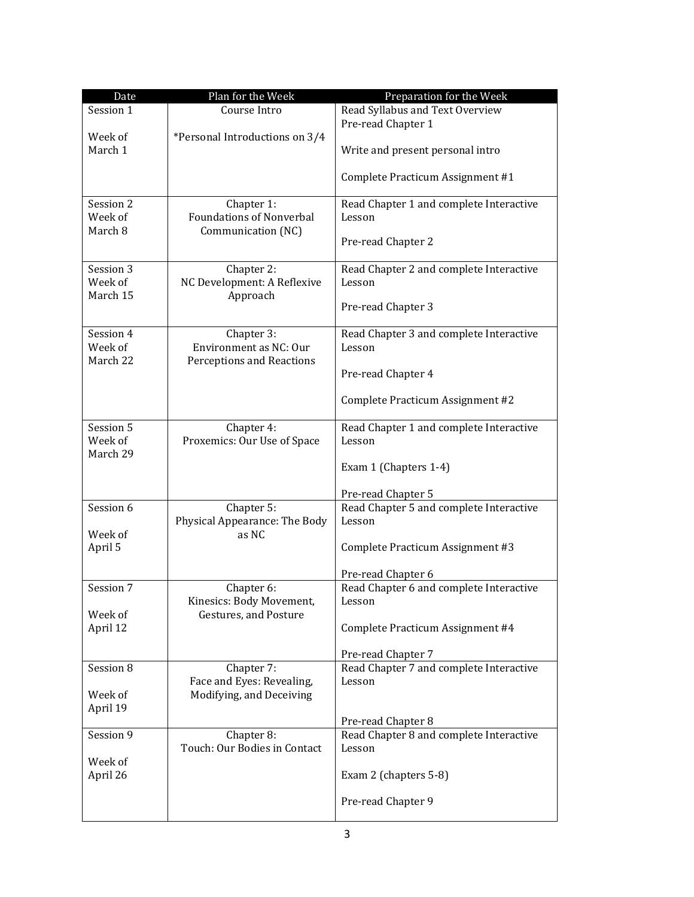| Date      | Plan for the Week               | Preparation for the Week                |
|-----------|---------------------------------|-----------------------------------------|
| Session 1 | Course Intro                    | Read Syllabus and Text Overview         |
|           |                                 | Pre-read Chapter 1                      |
| Week of   | *Personal Introductions on 3/4  |                                         |
| March 1   |                                 | Write and present personal intro        |
|           |                                 |                                         |
|           |                                 | Complete Practicum Assignment #1        |
| Session 2 | Chapter 1:                      | Read Chapter 1 and complete Interactive |
| Week of   | <b>Foundations of Nonverbal</b> | Lesson                                  |
| March 8   | Communication (NC)              |                                         |
|           |                                 | Pre-read Chapter 2                      |
| Session 3 | Chapter 2:                      | Read Chapter 2 and complete Interactive |
| Week of   | NC Development: A Reflexive     | Lesson                                  |
| March 15  | Approach                        |                                         |
|           |                                 | Pre-read Chapter 3                      |
| Session 4 | Chapter 3:                      | Read Chapter 3 and complete Interactive |
| Week of   | Environment as NC: Our          | Lesson                                  |
| March 22  | Perceptions and Reactions       |                                         |
|           |                                 | Pre-read Chapter 4                      |
|           |                                 | Complete Practicum Assignment #2        |
| Session 5 | Chapter 4:                      | Read Chapter 1 and complete Interactive |
| Week of   | Proxemics: Our Use of Space     | Lesson                                  |
| March 29  |                                 |                                         |
|           |                                 | Exam 1 (Chapters 1-4)                   |
|           |                                 | Pre-read Chapter 5                      |
| Session 6 | Chapter $\overline{5}$ :        | Read Chapter 5 and complete Interactive |
|           | Physical Appearance: The Body   | Lesson                                  |
| Week of   | as NC                           |                                         |
| April 5   |                                 | Complete Practicum Assignment #3        |
|           |                                 |                                         |
|           |                                 | Pre-read Chapter 6                      |
| Session 7 | Chapter 6:                      | Read Chapter 6 and complete Interactive |
|           | Kinesics: Body Movement,        | Lesson                                  |
| Week of   | <b>Gestures, and Posture</b>    |                                         |
| April 12  |                                 | Complete Practicum Assignment #4        |
|           |                                 | Pre-read Chapter 7                      |
| Session 8 | Chapter 7:                      | Read Chapter 7 and complete Interactive |
|           | Face and Eyes: Revealing,       | Lesson                                  |
| Week of   | Modifying, and Deceiving        |                                         |
| April 19  |                                 |                                         |
|           |                                 | Pre-read Chapter 8                      |
| Session 9 | Chapter 8:                      | Read Chapter 8 and complete Interactive |
|           | Touch: Our Bodies in Contact    | Lesson                                  |
| Week of   |                                 |                                         |
| April 26  |                                 | Exam 2 (chapters 5-8)                   |
|           |                                 | Pre-read Chapter 9                      |
|           |                                 |                                         |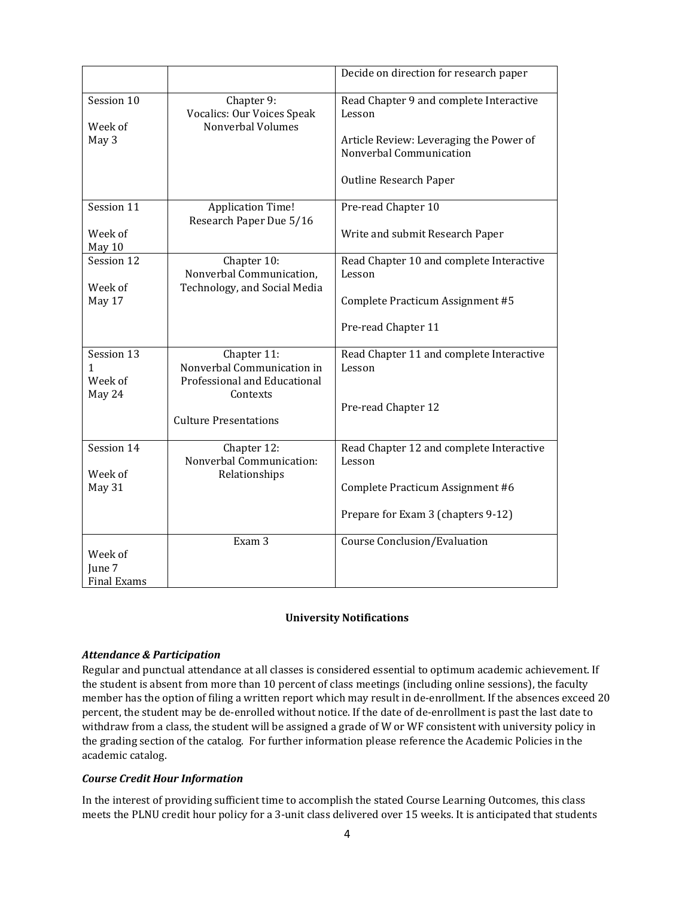|                                      |                                                                                                                       | Decide on direction for research paper                                                                                                                   |
|--------------------------------------|-----------------------------------------------------------------------------------------------------------------------|----------------------------------------------------------------------------------------------------------------------------------------------------------|
| Session 10<br>Week of<br>May 3       | Chapter 9:<br>Vocalics: Our Voices Speak<br>Nonverbal Volumes                                                         | Read Chapter 9 and complete Interactive<br>Lesson<br>Article Review: Leveraging the Power of<br>Nonverbal Communication<br><b>Outline Research Paper</b> |
| Session 11<br>Week of<br>May 10      | <b>Application Time!</b><br>Research Paper Due 5/16                                                                   | Pre-read Chapter 10<br>Write and submit Research Paper                                                                                                   |
| Session 12<br>Week of<br>May 17      | Chapter 10:<br>Nonverbal Communication,<br>Technology, and Social Media                                               | Read Chapter 10 and complete Interactive<br>Lesson<br>Complete Practicum Assignment #5<br>Pre-read Chapter 11                                            |
| Session 13<br>1<br>Week of<br>May 24 | Chapter 11:<br>Nonverbal Communication in<br>Professional and Educational<br>Contexts<br><b>Culture Presentations</b> | Read Chapter 11 and complete Interactive<br>Lesson<br>Pre-read Chapter 12                                                                                |
| Session 14<br>Week of<br>May 31      | Chapter 12:<br>Nonverbal Communication:<br>Relationships                                                              | Read Chapter 12 and complete Interactive<br>Lesson<br>Complete Practicum Assignment #6<br>Prepare for Exam 3 (chapters 9-12)                             |
| Week of<br>June 7<br>Final Exams     | Exam 3                                                                                                                | Course Conclusion/Evaluation                                                                                                                             |

# **University Notifications**

#### *Attendance & Participation*

Regular and punctual attendance at all classes is considered essential to optimum academic achievement. If the student is absent from more than 10 percent of class meetings (including online sessions), the faculty member has the option of filing a written report which may result in de-enrollment. If the absences exceed 20 percent, the student may be de-enrolled without notice. If the date of de-enrollment is past the last date to withdraw from a class, the student will be assigned a grade of W or WF consistent with university policy in the grading section of the catalog. For further information please reference the Academic Policies in the academic catalog.

## *Course Credit Hour Information*

In the interest of providing sufficient time to accomplish the stated Course Learning Outcomes, this class meets the PLNU credit hour policy for a 3-unit class delivered over 15 weeks. It is anticipated that students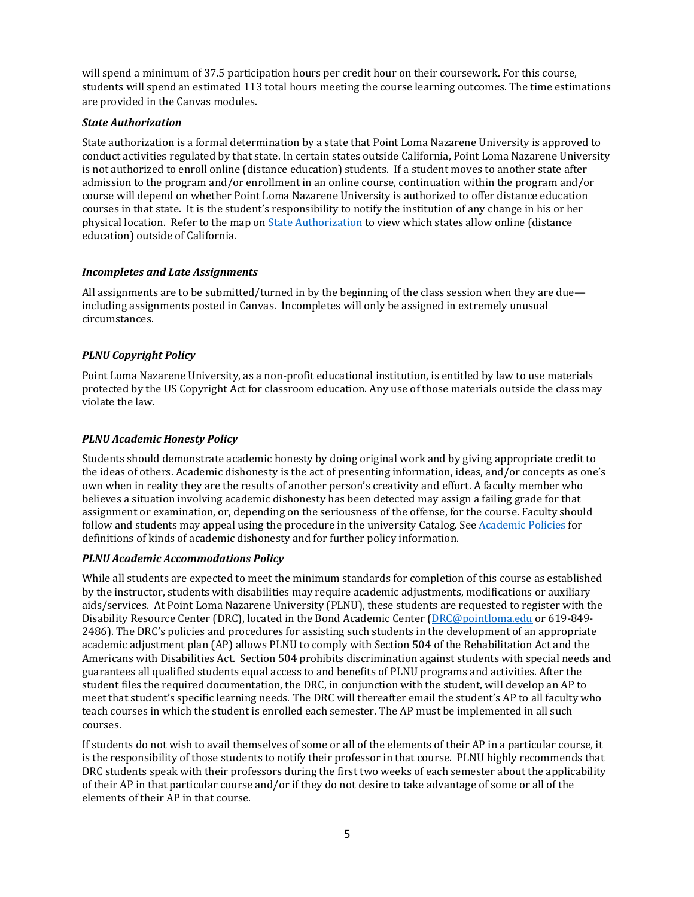will spend a minimum of 37.5 participation hours per credit hour on their coursework. For this course, students will spend an estimated 113 total hours meeting the course learning outcomes. The time estimations are provided in the Canvas modules.

## *State Authorization*

State authorization is a formal determination by a state that Point Loma Nazarene University is approved to conduct activities regulated by that state. In certain states outside California, Point Loma Nazarene University is not authorized to enroll online (distance education) students. If a student moves to another state after admission to the program and/or enrollment in an online course, continuation within the program and/or course will depend on whether Point Loma Nazarene University is authorized to offer distance education courses in that state. It is the student's responsibility to notify the institution of any change in his or her physical location. Refer to the map on State Authorization to view which states allow online (distance education) outside of California.

## *Incompletes and Late Assignments*

All assignments are to be submitted/turned in by the beginning of the class session when they are due including assignments posted in Canvas. Incompletes will only be assigned in extremely unusual circumstances.

# *PLNU Copyright Policy*

Point Loma Nazarene University, as a non-profit educational institution, is entitled by law to use materials protected by the US Copyright Act for classroom education. Any use of those materials outside the class may violate the law.

## *PLNU Academic Honesty Policy*

Students should demonstrate academic honesty by doing original work and by giving appropriate credit to the ideas of others. Academic dishonesty is the act of presenting information, ideas, and/or concepts as one's own when in reality they are the results of another person's creativity and effort. A faculty member who believes a situation involving academic dishonesty has been detected may assign a failing grade for that assignment or examination, or, depending on the seriousness of the offense, for the course. Faculty should follow and students may appeal using the procedure in the university Catalog. See Academic Policies for definitions of kinds of academic dishonesty and for further policy information.

#### *PLNU Academic Accommodations Policy*

While all students are expected to meet the minimum standards for completion of this course as established by the instructor, students with disabilities may require academic adjustments, modifications or auxiliary aids/services. At Point Loma Nazarene University (PLNU), these students are requested to register with the Disability Resource Center (DRC), located in the Bond Academic Center (DRC@pointloma.edu or 619-849-2486). The DRC's policies and procedures for assisting such students in the development of an appropriate academic adjustment plan (AP) allows PLNU to comply with Section 504 of the Rehabilitation Act and the Americans with Disabilities Act. Section 504 prohibits discrimination against students with special needs and guarantees all qualified students equal access to and benefits of PLNU programs and activities. After the student files the required documentation, the DRC, in conjunction with the student, will develop an AP to meet that student's specific learning needs. The DRC will thereafter email the student's AP to all faculty who teach courses in which the student is enrolled each semester. The AP must be implemented in all such courses.

If students do not wish to avail themselves of some or all of the elements of their AP in a particular course, it is the responsibility of those students to notify their professor in that course. PLNU highly recommends that DRC students speak with their professors during the first two weeks of each semester about the applicability of their AP in that particular course and/or if they do not desire to take advantage of some or all of the elements of their AP in that course.